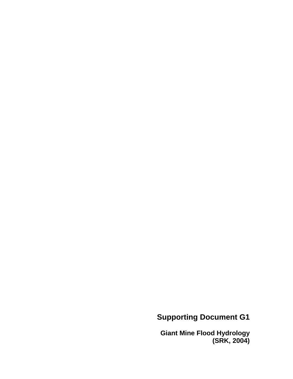# **Supporting Document G1**

**Giant Mine Flood Hydrology (SRK, 2004)**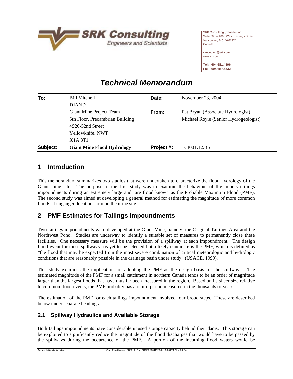

SRK Consulting (Canada) Inc. Suite 800 – 1066 West Hastings Street Vancouver, B.C. V6E 3X2 Canada

[vancouver@srk.com](mailto:vancouver@srk.com) [www.srk.com](http://www.srk.com)

**Tel: 604.681.4196 Fax: 604.687.5532** 

# *Technical Memorandum*

| To:      | <b>Bill Mitchell</b>              | Date:      | November 23, 2004                     |
|----------|-----------------------------------|------------|---------------------------------------|
|          | <b>DIAND</b>                      |            |                                       |
|          | Giant Mine Project Team           | From:      | Pat Bryan (Associate Hydrologist)     |
|          | 5th Floor, Precambrian Building   |            | Michael Royle (Senior Hydrogeologist) |
|          | $4920 - 52nd$ Street              |            |                                       |
|          | Yellowknife, NWT                  |            |                                       |
|          | X <sub>1</sub> A 3T <sub>1</sub>  |            |                                       |
| Subject: | <b>Giant Mine Flood Hydrology</b> | Project #: | 1CI001.12.B5                          |

# **1 Introduction**

This memorandum summarizes two studies that were undertaken to characterize the flood hydrology of the Giant mine site. The purpose of the first study was to examine the behaviour of the mine's tailings impoundments during an extremely large and rare flood known as the Probable Maximum Flood (PMF). The second study was aimed at developing a general method for estimating the magnitude of more common floods at ungauged locations around the mine site.

# **2 PMF Estimates for Tailings Impoundments**

Two tailings impoundments were developed at the Giant Mine, namely: the Original Tailings Area and the Northwest Pond. Studies are underway to identify a suitable set of measures to permanently close these facilities. One necessary measure will be the provision of a spillway at each impoundment. The design flood event for these spillways has yet to be selected but a likely candidate is the PMF, which is defined as "the flood that may be expected from the most severe combination of critical meteorologic and hydrologic conditions that are reasonably possible in the drainage basin under study" (USACE, 1999).

This study examines the implications of adopting the PMF as the design basis for the spillways. The estimated magnitude of the PMF for a small catchment in northern Canada tends to be an order of magnitude larger than the largest floods that have thus far been measured in the region. Based on its sheer size relative to common flood events, the PMF probably has a return period measured in the thousands of years.

The estimation of the PMF for each tailings impoundment involved four broad steps. These are described below under separate headings.

# **2.1 Spillway Hydraulics and Available Storage**

Both tailings impoundments have considerable unused storage capacity behind their dams. This storage can be exploited to significantly reduce the magnitude of the flood discharges that would have to be passed by the spillways during the occurrence of the PMF. A portion of the incoming flood waters would be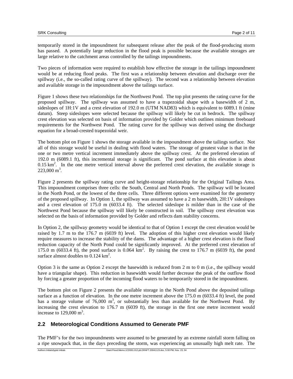temporarily stored in the impoundment for subsequent release after the peak of the flood-producing storm has passed. A potentially large reduction in the flood peak is possible because the available storages are large relative to the catchment areas controlled by the tailings impoundments.

Two pieces of information were required to establish how effective the storage in the tailings impoundment would be at reducing flood peaks. The first was a relationship between elevation and discharge over the spillway (i.e., the so-called rating curve of the spillway). The second was a relationship between elevation and available storage in the impoundment above the tailings surface.

Figure 1 shows these two relationships for the Northwest Pond. The top plot presents the rating curve for the proposed spillway. The spillway was assumed to have a trapezoidal shape with a basewidth of 2 m, sideslopes of 1H:1V and a crest elevation of 192.0 m (UTM NAD83) which is equivalent to 6089.1 ft (mine datum). Steep sideslopes were selected because the spillway will likely be cut in bedrock. The spillway crest elevation was selected on basis of information provided by Golder which outlines minimum freeboard requirements for the Northwest Pond. The rating curve for the spillway was derived using the discharge equation for a broad-crested trapezoidal weir.

The bottom plot on Figure 1 shows the storage available in the impoundment above the tailings surface. Not all of this storage would be useful in dealing with flood waters. The storage of greatest value is that in the one or two metre vertical increment immediately above the spillway crest. At the preferred elevation of 192.0 m (6089.1 ft), this incremental storage is significant. The pond surface at this elevation is about  $0.15 \text{ km}^2$ . In the one metre vertical interval above the preferred crest elevation, the available storage is  $223,000 \text{ m}^3$ .

Figure 2 presents the spillway rating curve and height-storage relationship for the Original Tailings Area. This impoundment comprises three cells: the South, Central and North Ponds. The spillway will be located in the North Pond, or the lowest of the three cells. Three different options were examined for the geometry of the proposed spillway. In Option 1, the spillway was assumed to have a 2 m basewidth, 2H:1V sideslopes and a crest elevation of 175.0 m (6033.4 ft). The selected sideslope is milder than in the case of the Northwest Pond because the spillway will likely be constructed in soil. The spillway crest elevation was selected on the basis of information provided by Golder and reflects dam stability concerns.

In Option 2, the spillway geometry would be identical to that of Option 1 except the crest elevation would be raised by 1.7 m to the 176.7 m (6039 ft) level. The adoption of this higher crest elevation would likely require measures to increase the stability of the dams. The advantage of a higher crest elevation is the flood reduction capacity of the North Pond could be significantly improved. At the preferred crest elevation of 175.0 m (6033.4 ft), the pond surface is 0.064  $km^2$ . By raising the crest to 176.7 m (6039 ft), the pond surface almost doubles to  $0.124 \text{ km}^2$ .

Option 3 is the same as Option 2 except the basewidth is reduced from 2 m to 0 m (i.e., the spillway would have a triangular shape). This reduction in basewidth would further decrease the peak of the outflow flood by forcing a greater proportion of the incoming flood waters to be temporarily stored in the impoundment.

The bottom plot on Figure 2 presents the available storage in the North Pond above the deposited tailings surface as a function of elevation. In the one metre increment above the 175.0 m (6033.4 ft) level, the pond has a storage volume of 76,000  $m^3$ , or substantially less than available for the Northwest Pond. By increasing the crest elevation to 176.7 m (6039 ft), the storage in the first one metre increment would increase to  $129,000 \text{ m}^3$ .

## **2.2 Meteorological Conditions Assumed to Generate PMF**

The PMF's for the two impoundments were assumed to be generated by an extreme rainfall storm falling on a ripe snowpack that, in the days preceding the storm, was experiencing an unusually high melt rate. The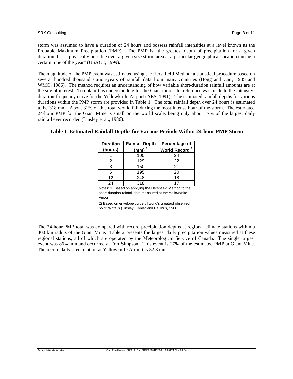storm was assumed to have a duration of 24 hours and possess rainfall intensities at a level known as the Probable Maximum Precipitation (PMP). The PMP is "the greatest depth of precipitation for a given duration that is physically possible over a given size storm area at a particular geographical location during a certain time of the year" (USACE, 1999).

The magnitude of the PMP event was estimated using the Hershfield Method, a statistical procedure based on several hundred thousand station-years of rainfall data from many countries (Hogg and Carr, 1985 and WMO, 1986). The method requires an understanding of how variable short-duration rainfall amounts are at the site of interest. To obtain this understanding for the Giant mine site, reference was made to the intensityduration-frequency curve for the Yellowknife Airport (AES, 1991). The estimated rainfall depths for various durations within the PMP storm are provided in Table 1. The total rainfall depth over 24 hours is estimated to be 318 mm. About 31% of this total would fall during the most intense hour of the storm. The estimated 24-hour PMP for the Giant Mine is small on the world scale, being only about 17% of the largest daily rainfall ever recorded (Linsley et al., 1986).

| <b>Rainfall Depth</b><br><b>Duration</b> |           | Percentage of             |  |  |  |
|------------------------------------------|-----------|---------------------------|--|--|--|
| (hours)                                  | (mm) $^1$ | World Record <sup>2</sup> |  |  |  |
|                                          | 100       | 24                        |  |  |  |
| 2                                        | 129       | 22                        |  |  |  |
| З                                        | 150       | 21                        |  |  |  |
| 6                                        | 195       | 20                        |  |  |  |
| 12                                       | 248       | 18                        |  |  |  |
| 24                                       | 318       |                           |  |  |  |

#### **Table 1 Estimated Rainfall Depths for Various Periods Within 24-hour PMP Storm**

Notes: 1) Based on applying the Hershfield Method to the short-duration rainfall data measured at the Yellowknife Airport.

2) Based on envelope curve of world's greatest observed point rainfalls (Linsley, Kohler and Paulhus, 1986).

The 24-hour PMP total was compared with record precipitation depths at regional climate stations within a 400 km radius of the Giant Mine. Table 2 presents the largest daily precipitation values measured at these regional stations, all of which are operated by the Meteorological Service of Canada. The single largest event was 86.4 mm and occurred at Fort Simpson. This event is 27% of the estimated PMP at Giant Mine. The record daily precipitation at Yellowknife Airport is 82.8 mm.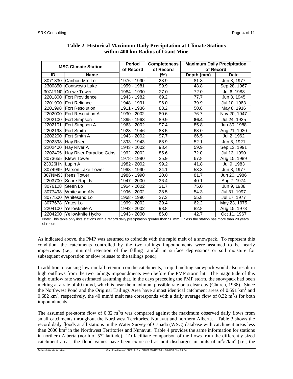| <b>MSC Climate Station</b> |                                 | <b>Period</b> | <b>Completeness</b> | <b>Maximum Daily Precipitation</b> |              |  |
|----------------------------|---------------------------------|---------------|---------------------|------------------------------------|--------------|--|
|                            |                                 | of Record     | of Record           | of Record                          |              |  |
| ID                         | <b>Name</b>                     |               | (%)                 | Depth (mm)                         | <b>Date</b>  |  |
|                            | 3071330 Caribou Mtn Lo          | 1976 - 1990   | 23.9                | 81.3                               | Jun 8, 1977  |  |
|                            | 2300850 Contwoyto Lake          | 1959 - 1981   | 99.9                | 48.8                               | Sep 28, 1967 |  |
|                            | 307JRN0 Crowe Tower             | 1984 - 1990   | 27.0                | 72.0                               | Jul 6, 1988  |  |
|                            | 2201800   Fort Providence       | 1943 - 1982   | 69.2                | 77.7                               | Jun 3, 1945  |  |
|                            | 2201900   Fort Reliance         | 1948 - 1991   | 96.0                | 39.9                               | Jul 10, 1963 |  |
|                            | 2201998   Fort Resolution       | 1911 - 1936   | 83.2                | 50.8                               | May 8, 1916  |  |
|                            | 2202000 Fort Resolution A       | 1930 - 2002   | 80.6                | 76.7                               | Nov 20, 1947 |  |
|                            | 2202100   Fort Simpson          | 1895 - 1963   | 89.9                | 86.4                               | Jul 24, 1935 |  |
|                            | 2202101 Fort Simpson A          | 1963 - 2002   | 97.4                | 85.8                               | Jun 30, 1988 |  |
|                            | 2202198   Fort Smith            | 1928 - 1946   | 88.5                | 63.0                               | Aug 21, 1930 |  |
|                            | 2202200   Fort Smith A          | 1943 - 2002   | 97.7                | 66.5                               | Jul 2, 1962  |  |
|                            | 2202398 Hay River               | 1893 - 1943   | 68.9                | 52.1                               | Jun 8, 1921  |  |
|                            | 2202400 Hay River A             | 1943 - 2002   | 98.4                | 59.9                               | Sep 13, 1991 |  |
|                            | 2202405 Hay River Paradise Gdns | 1962 - 2002   | 85.6                | 72.0                               | Jul 13, 1990 |  |
|                            | 3073655   Klewi Tower           | 1978 - 1990   | 25.9                | 67.8                               | Aug 15, 1989 |  |
| 23026HN Lupin A            |                                 | 1982 - 2002   | 99.2                | 41.8                               | Jul 9, 1983  |  |
|                            | 3074999   Parson Lake Tower     | 1968 - 1990   | 24.1                | 53.3                               | Jun 8, 1977  |  |
|                            | 307NM9J Rees Tower              | 1986 - 1990   | 20.8                | 81.7                               | Jun 20, 1986 |  |
|                            | 2203700 Snare Rapids            | 1947 - 2000   | 36.4                | 40.1                               | Aug 7, 1974  |  |
|                            | 3076108 Steen Lo                | 1964 - 2002   | 31.7                | 75.0                               | Jun 9, 1988  |  |
|                            | 3077498 Whitesand Afs           | 1996 - 2002   | 28.5                | 54.3                               | Jul 31, 1997 |  |
|                            | 3077500 Whitesand Lo            | 1968 - 1996   | 27.3                | 55.8                               | Jul 17, 1977 |  |
| 3077678                    | <b>IYates Lo</b>                | 1969 - 2002   | 29.4                | 62.2                               | May 23, 1975 |  |
| 2204100                    | Yellowknife A                   | 1942 - 2002   | 98.8                | 82.8                               | Aug 15, 1973 |  |
|                            | 2204200 Yellowknife Hydro       | 1943 - 2000   | 86.0                | 42.7                               | Oct 11, 1967 |  |

#### **Table 2 Historical Maximum Daily Precipitation at Climate Stations within 400 km Radius of Giant Mine**

Note: This table only lists stations with a record daily precipitation greater than 50 mm, unless the station has more than 20 years of record.

As indicated above, the PMP was assumed to coincide with the rapid melt of a snowpack. To represent this condition, the catchments controlled by the two tailings impoundments were assumed to be nearly impervious (i.e., minimal retention of the falling rainfall in surface depressions or soil moisture for subsequent evaporation or slow release to the tailings pond).

In addition to causing low rainfall retention on the catchments, a rapid melting snowpack would also result in high outflows from the two tailings impoundments even before the PMP storm hit. The magnitude of this high outflow rate was estimated assuming that, in the days preceding the PMP storm, the snowpack had been melting at a rate of 40 mm/d, which is near the maximum possible rate on a clear day (Church, 1988). Since the Northwest Pond and the Original Tailings Area have almost identical catchment areas of  $0.691 \text{ km}^2$  and 0.682 km<sup>2</sup>, respectively, the 40 mm/d melt rate corresponds with a daily average flow of 0.32 m<sup>3</sup>/s for both impoundments.

The assumed pre-storm flow of 0.32  $m<sup>3</sup>/s$  was compared against the maximum observed daily flows from small catchments throughout the Northwest Territories, Nunavut and northern Alberta. Table 3 shows the record daily floods at all stations in the Water Survey of Canada (WSC) database with catchment areas less than 2000  $\text{km}^2$  in the Northwest Territories and Nunavut. Table 4 provides the same information for stations in northern Alberta (north of 57° latitude). To facilitate comparison of the flows from the differently sized catchment areas, the flood values have been expressed as unit discharges in units of  $m^3/s/km^2$  (i.e., the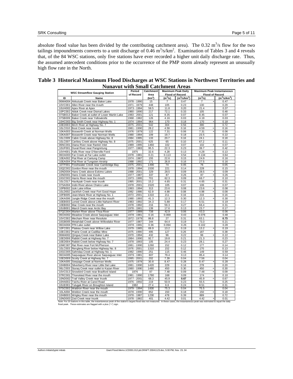absolute flood value has been divided by the contributing catchment area). The  $0.32 \text{ m}^3/\text{s}$  flow for the two tailings impoundments converts to a unit discharge of  $0.46 \text{ m}^3/\text{s/km}^2$ . Examination of Tables 3 and 4 reveals that, of the 84 WSC stations, only five stations have ever recorded a higher unit daily discharge rate. Thus, the assumed antecedent conditions prior to the occurrence of the PMP storm already represent an unusually high flow rate in the North.

| <b>WSC Streamflow Gauging Station</b> |                                                                           | Period                     | Catchment          | <b>Maximum Peak Daily</b> |                        | <b>Maximum Peak Instantaneous</b>      |                |
|---------------------------------------|---------------------------------------------------------------------------|----------------------------|--------------------|---------------------------|------------------------|----------------------------------------|----------------|
|                                       |                                                                           | of Record                  | Area               |                           | <b>Flood of Record</b> | <b>Flood of Record</b>                 |                |
| ID                                    | Name                                                                      |                            | (km <sup>2</sup> ) | $(m^3/s)$                 | $(m^3/s/km^2)$         | $(m^3/s)$                              | $(m^3/s/km^2)$ |
|                                       | 06MA004 Akkutuak Creek near Baker Lake                                    | 1978 - 1990                | 15                 | $\overline{7}$            | 0.47                   | $\overline{7}$<br>$\ddot{}$            | 0.47           |
|                                       | 10VC001 Allen River near the mouth                                        | 1971 - 1979                | 448                | 105                       | 0.23                   | 130                                    | 0.29           |
|                                       | 10UH002 Apex River at Apex                                                | 1973 - 1994                | 58.5               | 11.8                      | 0.20                   | 21.4                                   | 0.37           |
|                                       | 10PC002 Atitok Creek near Dismal Lakes                                    | 1980 - 1990                | 217                | 72.1                      | 0.33                   | 105                                    | 0.48           |
|                                       | 07SB013 Baker Creek at outlet of Lower Martin Lake                        | 1983 - 2001                | 121                | 8.35                      | 0.07                   | 8.45                                   | 0.07           |
|                                       | 07SB009 Baker Creek near Yellowknife                                      | 1968 - 1982                | 126                | 4.16                      | 0.03                   | 4.19                                   | 0.03           |
|                                       | 10HC003 Big Smith Creek near Highway No. 1                                | 1974 - 1994                | 964                | 170                       | 0.18                   | 170<br>$\ddot{}$                       | 0.18           |
|                                       | 10ED003 Birch River at Highway No. 7                                      | 1975 - 2001                | 542                | 304                       | 0.56                   | 390                                    | 0.72           |
|                                       | 10LC010 Boot Creek near Inuvik                                            | 1981 - 1990                | 28.2               | 4.59                      | 0.16                   | 4.59<br>$\ddot{}$                      | 0.16           |
|                                       | 10KA003 Bosworth Creek at Norman Wells                                    | 1976 - 1979                | 122                | 7.31                      | 0.06                   | 7.31<br>$\ddot{}$                      | 0.06           |
|                                       | 10KA007 Bosworth Creek near Norman Wells                                  | 1980 - 1994                | 109                | 19.7<br>20.7              | 0.18                   | 23.5                                   | 0.22           |
|                                       | 10LC009 Cabin Creek above Highway No. 8                                   | 1984 - 1995                | 133                |                           | 0.16                   | 24.1                                   | 0.18           |
|                                       | 10LC007 Caribou Creek above Highway No. 8                                 | 1975 - 2001                | 625                | 65<br>102                 | 0.10                   | 67.2                                   | 0.11           |
|                                       | 06NC001 Diana River near Rankin Inlet                                     | 1989 - 1995                | 1460               |                           | 0.07                   | 102<br>$\ddot{}$                       | 0.07           |
|                                       | 10UF001 Duval River near Pangnirtung                                      | 1977 - 1983                | 95.5               | 22.3                      | 0.23                   | 39.7                                   | 0.42           |
|                                       | 10VH001 Falls River near D'Iberville Fiord                                | 1975                       | 32.6               | 4.28                      | 0.13                   | 4.28<br>÷.                             | 0.13           |
|                                       | 06OA003 Far Creek at Far Lake outlet                                      | 1978 - 1981                | 0.21               | 0.113                     | 0.54                   | 0.134                                  | 0.64           |
|                                       | 10EA002 Flat River at Cantung Camp                                        | 1974 - 1987                | 155<br>171         | 22.6                      | 0.15                   | 24.9                                   | 0.16           |
|                                       | 10EA004 Flat River at Tungsten Airstrip                                   | 1988 - 1992                | 1490               | 26.8                      | 0.16<br>0.05           | 27.5                                   | 0.16           |
|                                       | 10TF001 Freshwater Creek near Cambridge Bay                               | 1975 - 2001<br>1978 - 1994 | 1530               | 74<br>221                 | 0.14                   | 76<br>228                              | 0.05<br>0.15   |
|                                       | 10QC002 Gordon River near the mouth                                       | 1988 - 2001                | 329                |                           | 0.09                   |                                        | 0.09           |
|                                       | 10ND004 Hans Creek above Eskimo Lakes<br>10ND001 Hans Creek near Inuvik   | 1977 - 1987                | 337                | 28.5<br>87                | 0.26                   | 28.5<br>$\ddot{}$<br>87<br>$\ddot{}$   | 0.26           |
|                                       |                                                                           | 1973 - 1995                | 701                | 62.3                      | 0.09                   | 66.7                                   | 0.10           |
|                                       | 10GC002 Harris River near the mouth<br>10LC017 Havikpak Creek near Inuvik | 1995 - 2001                |                    | 4.65                      | 0.31                   |                                        |                |
|                                       | 07SA004 Indin River above Chalco Lake                                     |                            | 15.2               |                           |                        | 4.65<br>$\ddot{}$                      | 0.31           |
|                                       |                                                                           | 1978 - 2001                | 1520               | 105<br>23.6               | 0.07<br>0.08           | 106                                    | 0.07<br>0.08   |
|                                       | 10PB002 Izok Lake inflow<br>10LD002 Jackfish Creek near Fort Good Hope    | 1993 - 1994<br>1982 - 1986 | 313<br>62.9        | 4.98                      | 0.08                   | 23.6<br>$\ddot{}$<br>4.98<br>$\ddot{}$ | 0.08           |
|                                       | 10FB005 Jean-Marie River at Highway No. 1                                 | 1973 - 2001                | 1310               | 211                       | 0.16                   | 216                                    | 0.16           |
|                                       | 10KA006 Jungle Ridge Creek near the mouth                                 | 1980 - 1993                | 41.3               | 12.3                      | 0.30                   | 12.3<br>$\ddot{}$                      | 0.30           |
|                                       | 10EB003 Lened Creek above Little Nahanni River                            | 1983 - 1992                | 34.3               | 5.88                      | 0.17                   | 6.51                                   | 0.19           |
|                                       | 10EB002 Mac Creek near the mouth                                          | 1978 - 1992                | 216                | 59.3                      | 0.27                   | 66.4                                   | 0.31           |
|                                       | 10UB001 Marcil Creek near Arctic Bay                                      | 1978 - 1981                | 139                | 17.6                      | 0.13                   | 23.7                                   | 0.17           |
|                                       | 07QC004 Marten River above Thoa River                                     | 1977 - 1989                | 738                | 42.9                      | 0.06                   | 43.3                                   | 0.06           |
|                                       | 06OA002 Meadow Creek above Saqvaqjuac Inlet                               | 1978 - 1981                | 0.16               | 0.069                     | 0.43                   | 0.076                                  | 0.48           |
|                                       | 10VC002 Mecham River near Resolute                                        | 1972 - 1979                | 86.8               | 27                        | 0.31                   | 63.1                                   | 0.73           |
|                                       | 10GB005 Metahdali Creek above Willowlake River                            | 1977 - 1987                | 344                | 64.4                      | 0.19                   | 73.3                                   | 0.21           |
|                                       | 06OA004 P/N Lake outlet                                                   | 1978 - 1981                | 0.36               | 0.094                     | 0.26                   | 0.102                                  | 0.28           |
|                                       | 10FC001 Plateau Creek near Willow Lake                                    | 1979 - 1985                | 69.9               | 13.2                      | 0.19                   | 13.2<br>$\ddot{}$                      | 0.19           |
|                                       | 10EC002 Prairie Creek at Cadillac Mine                                    | 1975 - 1990                | 495                | 127                       | 0.26                   | 187                                    | 0.38           |
|                                       | 06MA002 Qinguq Creek near Baker Lake                                      | 1970 - 1994                | 432                | 96                        | 0.22                   | 96<br>$\ddot{}$                        | 0.22           |
|                                       | 10ED006 Rabbit Creek at Highway No. 7                                     | 1984 - 1990                | 92.7               | 19.8                      | 0.21                   | 21.3                                   | 0.23           |
|                                       | 10ED004 Rabbit Creek below Highway No. 7                                  | 1978 - 1983                | 105                | 24.4                      | 0.23                   | 28.1                                   | 0.27           |
|                                       | 10MC007 Rat River near Fort McPherson                                     | 1981 - 1990                | 1260               | 152                       | 0.12                   | 177                                    | 0.14           |
|                                       | 10LC003 Rengleng River below Highway No. 8                                | 1976 - 2001                | 1310               | 152                       | 0.12                   | 170                                    | 0.13           |
|                                       | 10GC005 Sahndaa Creek at Highway No. 1                                    | 1982 - 1990                | 251                | 115                       | 0.46                   | 149                                    | 0.59           |
|                                       | 06OA005 Saqvaqjuac River above Saqvaqjuac Inlet                           | 1979 - 1981                | 607                | 79.4                      | 0.13                   | 85.4                                   | 0.14           |
|                                       | 10ED009 Scotty Creek at Highway No. 7                                     | 1995 - 2001                | 202                | 7.39                      | 0.04                   | 7.56                                   | 0.04           |
|                                       | 10KA005 Seepage Creek at Norman Wells                                     | 1975 - 1978                | 30.8               | 8.47                      | 0.28                   | 8.47<br>$\ddot{}$                      | 0.28           |
|                                       | 10HB004 Silverberry River near Little Dal Lake                            | 1981 - 1990                | 1420               | 229                       | 0.16                   | 278                                    | 0.20           |
|                                       | 06LC003 Siurag Creek near outlet to Kazan River                           | 1980 - 1990                | 1480               | 450                       | 0.30                   | 450<br>$\ddot{}$                       | 0.30           |
|                                       | 10VC013 Snowbird Creek near Bradford Island                               | 1976                       | 87                 | 7.48                      | 0.09                   | 7.48<br>$\ddot{}$                      | 0.09           |
|                                       | 07RC001 Thonokied River near the mouth                                    | 1981 - 1990                | 1780               | 168                       | 0.09                   | 174                                    | 0.10           |
|                                       | 10ND002 Trail Valley Creek near Inuvik                                    | 1977 - 2001                | 68.3               | 45.9                      | 0.67                   | 45.9<br>$\ddot{}$                      | 0.67           |
|                                       | 10HA002 Tsichu River at Canol Road                                        | 1976 - 1992                | 219                | 50.9                      | 0.23                   | 55.5                                   | 0.25           |
| 10UE001                               | Tulugak River on Broughton Island                                         | 1982                       | 27.4               | 6.6                       | 0.24                   | 8.51                                   | 0.31           |
|                                       | 07SC002 Waldron River near the mouth                                      | 1979 - 1994                | 1830               | 75.3                      | 0.04                   | 75.5                                   | 0.04           |
|                                       | 10LA004 Weldon Creek near the mouth                                       | 1978 - 1990                | 852                | 150                       | 0.18                   | 150<br>$\ddot{}$                       | 0.18           |
|                                       | 10HB003 Wrigley River near the mouth                                      | 1978 - 1987                | 1230               | 478                       | 0.39                   | 889                                    | 0.72           |
|                                       | 10ND003 Zed Creek near Inuvik                                             | $1978 - 1982$              | 401                | 4.42                      | 0.01                   | 4.42<br>$\ddot{}$                      | 0.01           |
|                                       |                                                                           |                            |                    |                           |                        |                                        |                |

## **Table 3 Historical Maximum Flood Discharges at WSC Stations in Northwest Territories and Nunavut with Small Catchment Areas**

10ND003 2ed Creek near Inuvik<br>Note: For 20 stations in this table, the instantaneous peak of the station's largest flood was not measured. In these cases, the instantaneous peak was estimated to equal the daily<br>Nod peak. T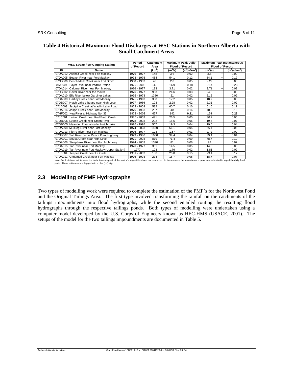# **Table 4 Historical Maximum Flood Discharges at WSC Stations in Northern Alberta with Small Catchment Areas**

| <b>WSC Streamflow Gauging Station</b>                                                                                                                                                     |                                                    | Period         | <b>Maximum Peak Daily</b><br>Catchment |               |                        | <b>Maximum Peak Instantaneous</b> |                        |                |
|-------------------------------------------------------------------------------------------------------------------------------------------------------------------------------------------|----------------------------------------------------|----------------|----------------------------------------|---------------|------------------------|-----------------------------------|------------------------|----------------|
|                                                                                                                                                                                           |                                                    | of Record      | Area                                   |               | <b>Flood of Record</b> |                                   | <b>Flood of Record</b> |                |
| ID                                                                                                                                                                                        | Name                                               |                | (km <sup>2</sup> )                     | $(m^3\!/\!s)$ | $(m^3\text{/s/km}^2)$  | $(m^3\!/\!s)$                     |                        | $(m^3/s/km^2)$ |
|                                                                                                                                                                                           | 07DA012 Asphalt Creek near Fort Mackay             | 1976 - 1977    | 148                                    | 3.6           | 0.02                   | 3.6                               | $\ddot{}$              | 0.02           |
|                                                                                                                                                                                           | 07DA005 Beaver River near Fort Mackay              | 1973 - 1975    | 454                                    | 54.1          | 0.12                   | 54.1                              | $\ddot{}$              | 0.12           |
|                                                                                                                                                                                           | 07NB006 Bench Mark Creek near Fort Smith           | 1968 - 1983    | 43                                     | 2.0           | 0.05                   | 2.29                              |                        | 0.05           |
| 07JF004                                                                                                                                                                                   | Boyer River near Paddle Prairie                    | 1979 - 2003    | 94.3                                   | 16.9          | 0.18                   | 21.4                              |                        | 0.23           |
|                                                                                                                                                                                           | 07DA014 Calumet River near Fort Mackay             | 1976 - 1977    | 183                                    | 3.71          | 0.02                   | 3.71                              | $\ddot{}$              | 0.02           |
|                                                                                                                                                                                           | 07DB002 Dover River near the mouth                 | 1976 - 1977    | 963                                    | 24.6          | 0.03                   | 24.6                              | $\ddot{}$              | 0.03           |
|                                                                                                                                                                                           | 07DA010 Ells River below Gardiner Lakes            | 1976 - 1978    | 1380                                   | 21            | 0.02                   | 21.6                              |                        | 0.02           |
|                                                                                                                                                                                           | 07DA009 Hartley Creek near Fort Mackay             | 1975 - 1993    | 358                                    | 17.2          | 0.05                   | 18.7                              |                        | 0.05           |
|                                                                                                                                                                                           | 07OB007 Hutch Lake tributary near High Level       | 1977 - 1986    | 103                                    | 2.28          | 0.02                   | 2.31                              |                        | 0.02           |
| 07JD003                                                                                                                                                                                   | Jackpine Creek at Wadlin Lake Road                 | 1972 - 2003    | 582                                    | 60.7          | 0.10                   | 61.5                              |                        | 0.11           |
|                                                                                                                                                                                           | 07DA016 Joslyn Creek near Fort Mackay              | 1976 - 1993    | 257                                    | 40            | 0.16                   | 40.0                              | $\ddot{}$              | 0.16           |
|                                                                                                                                                                                           | 07HF002 Keg River at Highway No. 35                | 1972 - 2003    | 667                                    | 142           | 0.21                   | 154                               |                        | 0.23           |
| 07JC001                                                                                                                                                                                   | Lafond Creek near Red Earth Creek                  | 1976 - 2003    | 491                                    | 26.5          | 0.05                   | 30.2                              |                        | 0.06           |
|                                                                                                                                                                                           | 07OB006 Lutose Creek near Steen River              | 1978 - 2003    | 292                                    | 18.5          | 0.06                   | 19.5                              |                        | 0.07           |
|                                                                                                                                                                                           | 07OB005 Meander River at outlet Hutch Lake         | 1976 - 1995    | 507                                    | 19.3          | 0.04                   | 19.5                              |                        | 0.04           |
|                                                                                                                                                                                           | 07DA008 Muskeg River near Fort Mackay              | 2003<br>1974 - | 1460                                   | 66.1          | 0.05                   | 66.4                              |                        | 0.05           |
|                                                                                                                                                                                           | 07DA013 Pierre River near Fort Mackay              | 1976 - 1977    | 123                                    | 1.57          | 0.01                   | 2.72                              |                        | 0.02           |
|                                                                                                                                                                                           | 07NB007 Salt River below Peace Point Highway       | 1973 - 1980    | 1060                                   | 39.4          | 0.04                   | 39.4                              | $\ddot{}$              | 0.04           |
| 07OA001                                                                                                                                                                                   | Sousa Creek near High Level                        | 1971 - 2003    | 819                                    | 71.4          | 0.09                   | 78.7                              |                        | 0.10           |
|                                                                                                                                                                                           | 07DA006 Steepbank River near Fort McMurray         | 1974 - 2003    | 1320                                   | 81            | 0.06                   | 92                                |                        | 0.07           |
|                                                                                                                                                                                           | 07DA015 Tar River near Fort Mackay                 | 1976 - 1977    | 301                                    | 14.5          | 0.05                   | 14.5                              | $\ddot{}$              | 0.05           |
|                                                                                                                                                                                           | 07DA019 Tar River near Fort Mackay (Upper Station) | 1977           | 103                                    | 1.76          | 0.02                   | 1.81                              |                        | 0.02           |
|                                                                                                                                                                                           | 07JD004 Teepee Creek near La Crete                 | 1981 - 2003    | 136                                    | 20.8          | 0.15                   | 23.4                              |                        | 0.17           |
|                                                                                                                                                                                           | 07DA011 Unnamed Creek near Fort Mackay             | 1976 - 1993    | 274                                    | 16.7          | 0.06                   | 18.7                              |                        | 0.07           |
| Note: For 7 stations in this table, the instantaneous peak of the station's largest flood was not measured. In these cases, the instantaneous peak was estimated to equal the daily flood |                                                    |                |                                        |               |                        |                                   |                        |                |

peak. These estimates are flagged with a plus ("+") sign.

# **2.3 Modelling of PMF Hydrographs**

Two types of modelling work were required to complete the estimation of the PMF's for the Northwest Pond and the Original Tailings Area. The first type involved transforming the rainfall on the catchments of the tailings impoundments into flood hydrographs, while the second entailed routing the resulting flood hydrographs through the respective tailings ponds. Both types of modelling were undertaken using a computer model developed by the U.S. Corps of Engineers known as HEC-HMS (USACE, 2001). The setups of the model for the two tailings impoundments are documented in Table 5.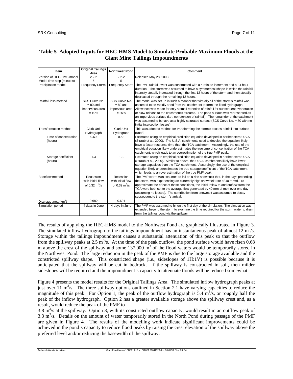# **Table 5 Adopted Inputs for HEC-HMS Model to Simulate Probable Maximum Floods at the Giant Mine Tailings Impoundments**

| Item                             | <b>Original Tailings</b><br>Area | <b>Northwest Pond</b>         | <b>Comment</b>                                                                                                                                                 |  |  |
|----------------------------------|----------------------------------|-------------------------------|----------------------------------------------------------------------------------------------------------------------------------------------------------------|--|--|
| Version of HEC-HMS model         | 2.2.2                            | 2.2.2                         | Released May 28, 2003.                                                                                                                                         |  |  |
| Model time step (minutes)        | 5                                | 5                             |                                                                                                                                                                |  |  |
| Precipitation model              | <b>Frequency Storm</b>           |                               | Frequency Storm   The PMP rainfall event was constructed with a 5-minute increment and a 24-hour                                                               |  |  |
|                                  |                                  |                               | duration. The storm was assumed to have a symmetrical shape in which the rainfall                                                                              |  |  |
|                                  |                                  |                               | intensity steadily increased through the first 12 hours of the storm and then steadily<br>decreased through the remaining 12 hours.                            |  |  |
| Rainfall loss method             | SCS Curve No.                    | SCS Curve No.                 | The model was set up in such a manner that virtually all of the storm's rainfall was                                                                           |  |  |
|                                  | $= 80$ and                       | $= 80$ and                    | assumed to be rapidly shed from the catchment to form the flood hydrograph.                                                                                    |  |  |
|                                  | impervious area                  | impervious area               | Allowance was made for only a small retention of rainfall for subsequent evaporation                                                                           |  |  |
|                                  | $= 10%$                          | $= 25%$                       | or slow release to the catchment's streams. The pond surface was represented as                                                                                |  |  |
|                                  |                                  |                               | an impervious surface (i.e., no retention of rainfall). The remainder of the catchment                                                                         |  |  |
|                                  |                                  |                               | was assumed to behave as a highly saturated surface (SCS Curve No. = 80 with no                                                                                |  |  |
|                                  |                                  |                               | initial interception losses).                                                                                                                                  |  |  |
| <b>Transformation method</b>     | <b>Clark Unit</b>                | <b>Clark Unit</b>             | This was adopted method for transforming the storm's excess rainfall into surface                                                                              |  |  |
|                                  | Hydrograph                       | Hydrograph                    | runoff.                                                                                                                                                        |  |  |
| Time of concentration            | 0.69                             | 0.53                          | Estimated using an empirical prediction equation developed in northeastern U.S.A                                                                               |  |  |
| (hours)                          |                                  |                               | (Straub et al., 2000). The U.S.A. catchments used to develop the equation likely                                                                               |  |  |
|                                  |                                  |                               | have a faster response time than the TCA catchment. Accordingly, the use of the                                                                                |  |  |
|                                  |                                  |                               | empirical equation likely underestimates the true time of concentration of the TCA                                                                             |  |  |
|                                  |                                  |                               | catchment, which leads to an overestimation of the true PMF peak.                                                                                              |  |  |
| Storage coefficient              | 1.3                              | 1.3                           | Estimated using an empirical prediction equation developed in northeastern U.S.A.                                                                              |  |  |
| (hours)                          |                                  |                               | (Straub et al., 2000). Similar to above, the U.S.A. catchments likely have lower                                                                               |  |  |
|                                  |                                  |                               | storage capacities than the TCA catchment. Accordingly, the use of the empirical                                                                               |  |  |
|                                  |                                  |                               | equation likely underestimates the true storage coefficient of the TCA catchment,<br>which leads to an overestimation of the true PMF peak.                    |  |  |
| Baseflow method                  | Recession                        | Recession                     |                                                                                                                                                                |  |  |
|                                  | with initial flow                | with initial flow             | The PMP storm was assumed to fall on a ripe snowpack that, in the days preceding<br>the storm, was experiencing an extremely high snowmelt rate of 40 mm/d. To |  |  |
|                                  | of 0.32 $\text{m}^3/\text{s}$    | of 0.32 $\text{m}^3/\text{s}$ | approximate the effect of these conditions, the initial inflow to and outflow from the                                                                         |  |  |
|                                  |                                  |                               | TCA were both set to the average flow generated by 40 mm of melt over one day                                                                                  |  |  |
|                                  |                                  |                               | (assuming no losses). The contribution from snowmelt was assumed to decay                                                                                      |  |  |
|                                  |                                  |                               | subsequent to the storm's arrival.                                                                                                                             |  |  |
| Drainage area (km <sup>2</sup> ) | 0.682                            | 0.691                         |                                                                                                                                                                |  |  |
| Simulation period                | 4 days in June                   | 4 days in June                | The PMP was assumed to hit on the first day of the simulation. The simulation was                                                                              |  |  |
|                                  |                                  |                               | extended beyond the storm to examine the time required for the storm water to drain                                                                            |  |  |
|                                  |                                  |                               | from the tailings pond via the spillway.                                                                                                                       |  |  |

The results of applying the HEC-HMS model to the Northwest Pond are graphically illustrated in Figure 3. The simulated inflow hydrograph to the tailings impoundment has an instantaneous peak of almost  $12 \text{ m}^3/\text{s}$ . Storage within the tailings impoundment causes a substantial attenuation of this peak so that the outflow from the spillway peaks at  $2.5 \text{ m}^3/\text{s}$ . At the time of the peak outflow, the pond surface would have risen 0.68 m above the crest of the spillway and some  $137,000 \text{ m}^3$  of the flood waters would be temporarily stored in the Northwest Pond. The large reduction in the peak of the PMF is due to the large storage available and the constricted spillway shape. This constricted shape (i.e., sideslopes of 1H:1V) is possible because it is anticipated that the spillway will be cut in bedrock. If the spillway is constructed in soil, then milder sideslopes will be required and the impoundment's capacity to attenuate floods will be reduced somewhat.

Figure 4 presents the model results for the Original Tailings Area. The simulated inflow hydrograph peaks at just over 11 m<sup>3</sup>/s. The three spillway options outlined in Section 2.1 have varying capacities to reduce the magnitude of this peak. For Option 1, the peak of the outflow hydrograph is  $5.4 \text{ m}^3/\text{s}$ , or roughly half the peak of the inflow hydrograph. Option 2 has a greater available storage above the spillway crest and, as a result, would reduce the peak of the PMF to

3.8  $m<sup>3</sup>/s$  at the spillway. Option 3, with its constricted outflow capacity, would result in an outflow peak of  $3.3 \text{ m}^3$ /s. Details on the amount of water temporarily stored in the North Pond during passage of the PMF are given in Figure 4. The results of the modelling work indicate significant improvements could be achieved in the pond's capacity to reduce flood peaks by raising the crest elevation of the spillway above the preferred level and/or reducing the basewidth of the spillway.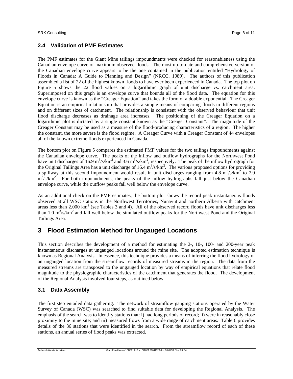#### **2.4 Validation of PMF Estimates**

The PMF estimates for the Giant Mine tailings impoundments were checked for reasonableness using the Canadian envelope curve of maximum observed floods. The most up-to-date and comprehensive version of the Canadian envelope curve appears to be the one contained in the publication entitled "Hydrology of Floods in Canada: A Guide to Planning and Design" (NRCC, 1989). The authors of this publication assembled a list of 22 of the highest known floods to have ever been experienced in Canada. The top plot on Figure 5 shows the 22 flood values on a logarithmic graph of unit discharge vs. catchment area. Superimposed on this graph is an envelope curve that bounds all of the flood data. The equation for this envelope curve is known as the "Creager Equation" and takes the form of a double exponential. The Creager Equation is an empirical relationship that provides a simple means of comparing floods in different regions and on different sizes of catchment. The relationship is consistent with the observed behaviour that unit flood discharge decreases as drainage area increases. The positioning of the Creager Equation on a logarithmic plot is dictated by a single constant known as the "Creager Constant". The magnitude of the Creager Constant may be used as a measure of the flood-producing characteristics of a region. The higher the constant, the more severe is the flood regime. A Creager Curve with a Creager Constant of 44 envelopes all of the known extreme floods experienced in Canada.

The bottom plot on Figure 5 compares the estimated PMF values for the two tailings impoundments against the Canadian envelope curve. The peaks of the inflow and outflow hydrographs for the Northwest Pond have unit discharges of 16.9 m<sup>3</sup>/s/km<sup>2</sup> and 3.6 m<sup>3</sup>/s/km<sup>2</sup>, respectively. The peak of the inflow hydrograph for the Original Tailings Area has a unit discharge of  $16.4 \text{ m}^3/\text{s/km}^2$ . The various proposed options for providing a spillway at this second impoundment would result in unit discharges ranging from  $4.8 \text{ m}^3/\text{s/km}^2$  to 7.9  $\text{m}^3\text{/s/km}^2$ . For both impoundments, the peaks of the inflow hydrographs fall just below the Canadian envelope curve, while the outflow peaks fall well below the envelope curve.

As an additional check on the PMF estimates, the bottom plot shows the record peak instantaneous floods observed at all WSC stations in the Northwest Territories, Nunavut and northern Alberta with catchment areas less than  $2,000 \text{ km}^2$  (see Tables 3 and 4). All of the observed record floods have unit discharges less than 1.0  $\text{m}^3/\text{s}/\text{km}^2$  and fall well below the simulated outflow peaks for the Northwest Pond and the Original Tailings Area.

# **3 Flood Estimation Method for Ungauged Locations**

This section describes the development of a method for estimating the 2-, 10-, 100- and 200-year peak instantaneous discharges at ungauged locations around the mine site. The adopted estimation technique is known as Regional Analysis. In essence, this technique provides a means of inferring the flood hydrology of an ungauged location from the streamflow records of measured streams in the region. The data from the measured streams are transposed to the ungauged location by way of empirical equations that relate flood magnitude to the physiographic characteristics of the catchment that generates the flood. The development of the Regional Analysis involved four steps, as outlined below.

## **3.1 Data Assembly**

The first step entailed data gathering. The network of streamflow gauging stations operated by the Water Survey of Canada (WSC) was searched to find suitable data for developing the Regional Analysis. The emphasis of the search was to identify stations that: i) had long periods of record; ii) were in reasonably close proximity to the mine site; and iii) measured flows from a wide range of catchment areas. Table 6 provides details of the 36 stations that were identified in the search. From the streamflow record of each of these stations, an annual series of flood peaks was extracted.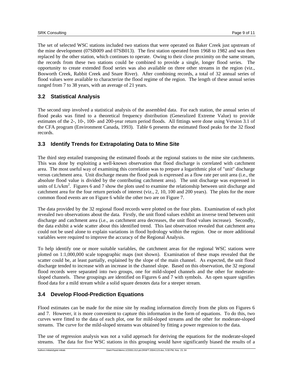The set of selected WSC stations included two stations that were operated on Baker Creek just upstream of the mine development (07SB009 and 07SB013). The first station operated from 1968 to 1982 and was then replaced by the other station, which continues to operate. Owing to their close proximity on the same stream, the records from these two stations could be combined to provide a single, longer flood series. The opportunity to create extended flood series was also available on three other streams in the region (viz., Bosworth Creek, Rabbit Creek and Snare River). After combining records, a total of 32 annual series of flood values were available to characterize the flood regime of the region. The length of these annual series ranged from 7 to 38 years, with an average of 21 years.

## **3.2 Statistical Analysis**

The second step involved a statistical analysis of the assembled data. For each station, the annual series of flood peaks was fitted to a theoretical frequency distribution (Generalized Extreme Value) to provide estimates of the 2-, 10-, 100- and 200-year return period floods. All fittings were done using Version 3.1 of the CFA program (Environment Canada, 1993). Table 6 presents the estimated flood peaks for the 32 flood records.

#### **3.3 Identify Trends for Extrapolating Data to Mine Site**

The third step entailed transposing the estimated floods at the regional stations to the mine site catchments. This was done by exploiting a well-known observation that flood discharge is correlated with catchment area. The most useful way of examining this correlation was to prepare a logarithmic plot of "unit" discharge versus catchment area. Unit discharge means the flood peak is expressed as a flow rate per unit area (i.e., the absolute flood value is divided by the contributing catchment area). The unit discharge was expressed in units of  $L/s/km^2$ . Figures 6 and 7 show the plots used to examine the relationship between unit discharge and catchment area for the four return periods of interest (viz., 2, 10, 100 and 200 years). The plots for the more common flood events are on Figure 6 while the other two are on Figure 7.

The data provided by the 32 regional flood records were plotted on the four plots. Examination of each plot revealed two observations about the data. Firstly, the unit flood values exhibit an inverse trend between unit discharge and catchment area (i.e., as catchment area decreases, the unit flood values increase). Secondly, the data exhibit a wide scatter about this identified trend. This last observation revealed that catchment area could not be used alone to explain variations in flood hydrology within the region. One or more additional variables were required to improve the accuracy of the Regional Analysis.

To help identify one or more suitable variables, the catchment areas for the regional WSC stations were plotted on 1:1,000,000 scale topographic maps (not shown). Examination of these maps revealed that the scatter could be, at least partially, explained by the slope of the main channel. As expected, the unit flood discharge tended to increase with an increase in the channel slope. Based on this observation, the 32 regional flood records were separated into two groups, one for mild-sloped channels and the other for moderatesloped channels. These groupings are identified on Figures 6 and 7 with symbols. An open square signifies flood data for a mild stream while a solid square denotes data for a steeper stream.

## **3.4 Develop Flood-Prediction Equations**

Flood estimates can be made for the mine site by reading information directly from the plots on Figures 6 and 7. However, it is more convenient to capture this information in the form of equations. To do this, two curves were fitted to the data of each plot, one for mild-sloped streams and the other for moderate-sloped streams. The curve for the mild-sloped streams was obtained by fitting a power regression to the data.

The use of regression analysis was not a valid approach for deriving the equations for the moderate-sloped streams. The data for five WSC stations in this grouping would have significantly biased the results of a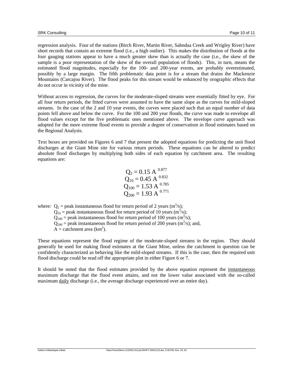regression analysis. Four of the stations (Birch River, Martin River, Sahndaa Creek and Wrigley River) have short records that contain an extreme flood (i.e., a high outlier). This makes the distribution of floods at the four gauging stations appear to have a much greater skew than is actually the case (i.e., the skew of the sample is a poor representation of the skew of the overall population of floods). This, in turn, means the estimated flood magnitudes, especially for the 100- and 200-year events, are probably overestimated, possibly by a large margin. The fifth problematic data point is for a stream that drains the Mackenzie Mountains (Carcajou River). The flood peaks for this stream would be enhanced by orographic effects that do not occur in vicinity of the mine.

Without access to regression, the curves for the moderate-sloped streams were essentially fitted by eye. For all four return periods, the fitted curves were assumed to have the same slope as the curves for mild-sloped streams. In the case of the 2 and 10 year events, the curves were placed such that an equal number of data points fell above and below the curve. For the 100 and 200 year floods, the curve was made to envelope all flood values except for the five problematic ones mentioned above. The envelope curve approach was adopted for the more extreme flood events to provide a degree of conservatism in flood estimates based on the Regional Analysis.

Text boxes are provided on Figures 6 and 7 that present the adopted equations for predicting the unit flood discharges at the Giant Mine site for various return periods. These equations can be altered to predict absolute flood discharges by multiplying both sides of each equation by catchment area. The resulting equations are:

$$
Q_2 = 0.15 \text{ A}^{0.877}
$$
  
\n
$$
Q_{10} = 0.45 \text{ A}^{0.832}
$$
  
\n
$$
Q_{100} = 1.53 \text{ A}^{0.785}
$$
  
\n
$$
Q_{200} = 1.93 \text{ A}^{0.771}
$$

where:  $Q_2$  = peak instantaneous flood for return period of 2 years (m<sup>3</sup>/s);

 $Q_{10}$  = peak instantaneous flood for return period of 10 years (m<sup>3</sup>/s);  $Q_{100}$  = peak instantaneous flood for return period of 100 years (m<sup>3</sup>/s);  $Q_{200}$  = peak instantaneous flood for return period of 200 years (m<sup>3</sup>/s); and,  $A =$  catchment area (km<sup>2</sup>).

These equations represent the flood regime of the moderate-sloped streams in the region. They should generally be used for making flood estimates at the Giant Mine, unless the catchment in question can be confidently characterized as behaving like the mild-sloped streams. If this is the case, then the required unit flood discharge could be read off the appropriate plot in either Figure 6 or 7.

It should be noted that the flood estimates provided by the above equation represent the instantaneous maximum discharge that the flood event attains, and not the lower value associated with the so-called maximum daily discharge (i.e., the average discharge experienced over an entire day).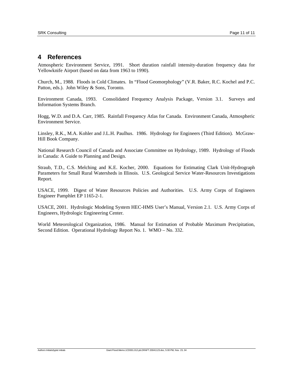# **4 References**

Atmospheric Environment Service, 1991. Short duration rainfall intensity-duration frequency data for Yellowknife Airport (based on data from 1963 to 1990).

Church, M., 1988. Floods in Cold Climates. In "Flood Geomorphology" (V.R. Baker, R.C. Kochel and P.C. Patton, eds.). John Wiley & Sons, Toronto.

Environment Canada, 1993. Consolidated Frequency Analysis Package, Version 3.1. Surveys and Information Systems Branch.

Hogg, W.D. and D.A. Carr, 1985. Rainfall Frequency Atlas for Canada. Environment Canada, Atmospheric Environment Service.

Linsley, R.K., M.A. Kohler and J.L.H. Paulhus. 1986. Hydrology for Engineers (Third Edition). McGraw-Hill Book Company.

National Research Council of Canada and Associate Committee on Hydrology, 1989. Hydrology of Floods in Canada: A Guide to Planning and Design.

Straub, T.D., C.S. Melching and K.E. Kocher, 2000. Equations for Estimating Clark Unit-Hydrograph Parameters for Small Rural Watersheds in Illinois. U.S. Geological Service Water-Resources Investigations Report.

USACE, 1999. Digest of Water Resources Policies and Authorities. U.S. Army Corps of Engineers Engineer Pamphlet EP 1165-2-1.

USACE, 2001. Hydrologic Modeling System HEC-HMS User's Manual, Version 2.1. U.S. Army Corps of Engineers, Hydrologic Engineering Center.

World Meteorological Organization, 1986. Manual for Estimation of Probable Maximum Precipitation, Second Edition. Operational Hydrology Report No. 1. WMO – No. 332.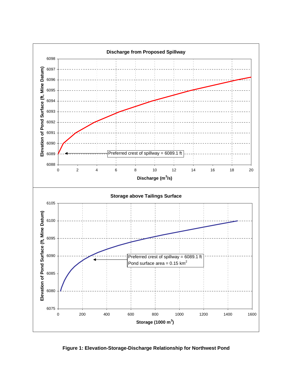

**Figure 1: Elevation-Storage-Discharge Relationship for Northwest Pond**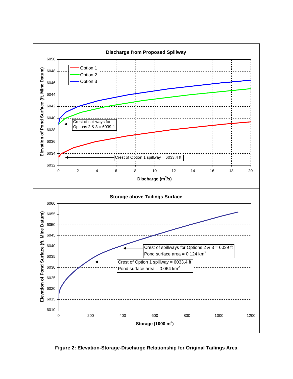

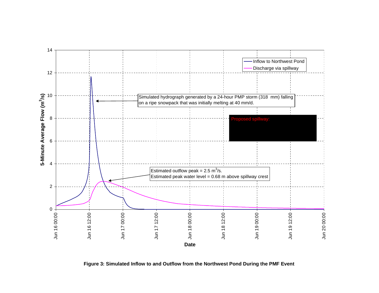

**Figure 3: Simulated Inflow to and Outflow from the Northwest Pond During the PMF Event**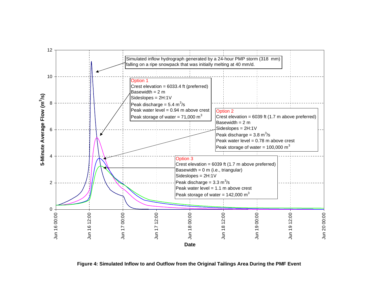

**Figure 4: Simulated Inflow to and Outflow from the Original Tailings Area During the PMF Event**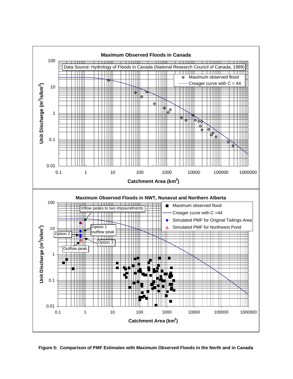

**Figure 5: Comparison of PMF Estimates with Maximum Observed Floods in the North and in Canada**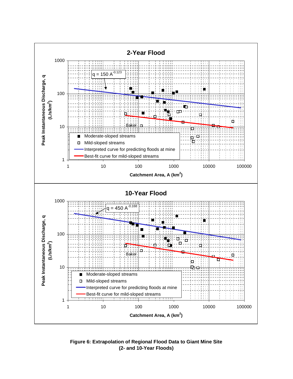

**Figure 6: Extrapolation of Regional Flood Data to Giant Mine Site (2- and 10-Year Floods)**